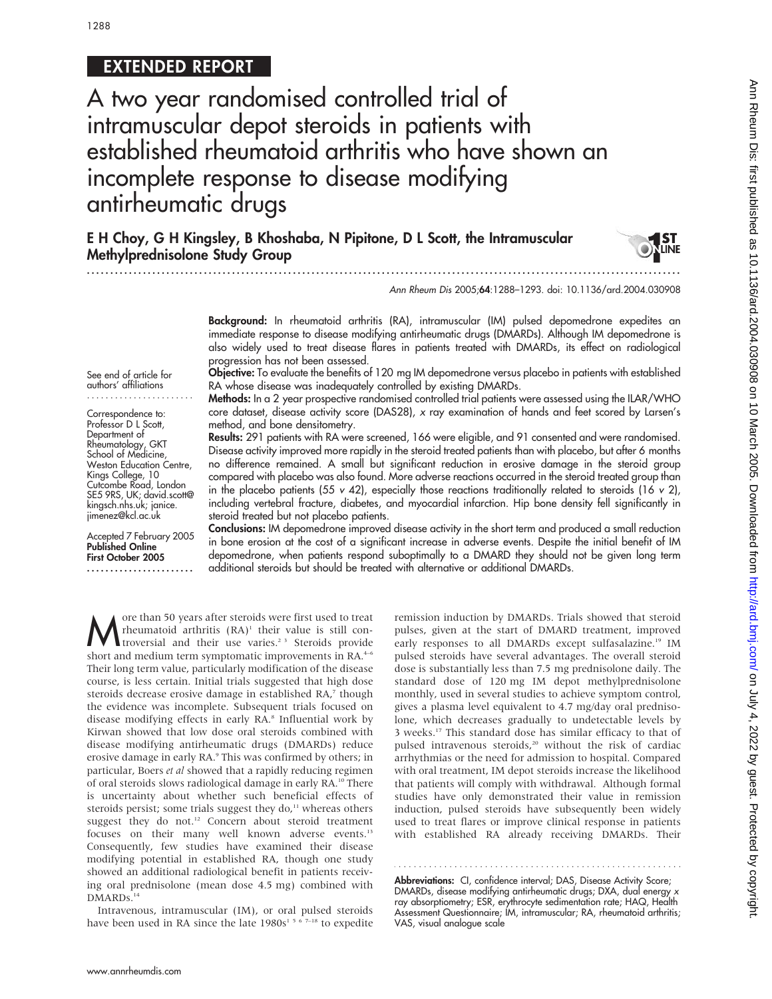# 1288

# EXTENDED REPORT

A two year randomised controlled trial of intramuscular depot steroids in patients with established rheumatoid arthritis who have shown an incomplete response to disease modifying antirheumatic drugs

...............................................................................................................................

E H Choy, G H Kingsley, B Khoshaba, N Pipitone, D L Scott, the Intramuscular Methylprednisolone Study Group



Ann Rheum Dis 2005;64:1288–1293. doi: 10.1136/ard.2004.030908

Background: In rheumatoid arthritis (RA), intramuscular (IM) pulsed depomedrone expedites an immediate response to disease modifying antirheumatic drugs (DMARDs). Although IM depomedrone is also widely used to treat disease flares in patients treated with DMARDs, its effect on radiological progression has not been assessed.

See end of article for authors' affiliations .......................

Correspondence to: Professor D L Scott, Department of Rheumatology, GKT School of Medicine, Weston Education Centre, Kings College, 10 Cutcombe Road, London SE5 9RS, UK; david.scott@ kingsch.nhs.uk; janice. jimenez@kcl.ac.uk

Accepted 7 February 2005 Published Online First October 2005 .......................

Objective: To evaluate the benefits of 120 mg IM depomedrone versus placebo in patients with established RA whose disease was inadequately controlled by existing DMARDs. Methods: In a 2 year prospective randomised controlled trial patients were assessed using the ILAR/WHO

core dataset, disease activity score (DAS28), x ray examination of hands and feet scored by Larsen's method, and bone densitometry.

Results: 291 patients with RA were screened, 166 were eligible, and 91 consented and were randomised. Disease activity improved more rapidly in the steroid treated patients than with placebo, but after 6 months no difference remained. A small but significant reduction in erosive damage in the steroid group compared with placebo was also found. More adverse reactions occurred in the steroid treated group than in the placebo patients (55 v 42), especially those reactions traditionally related to steroids (16 v 2), including vertebral fracture, diabetes, and myocardial infarction. Hip bone density fell significantly in steroid treated but not placebo patients.

Conclusions: IM depomedrone improved disease activity in the short term and produced a small reduction in bone erosion at the cost of a significant increase in adverse events. Despite the initial benefit of IM depomedrone, when patients respond suboptimally to a DMARD they should not be given long term additional steroids but should be treated with alternative or additional DMARDs.

**M** ore than 50 years after steroids were first used to treat<br>troversial and their use varies.<sup>2,3</sup> Steroids provide<br>that and medium term sumptomatic improvements in BA<sup>46</sup> rheumatoid arthritis (RA)<sup>1</sup> their value is still con-**Introversial and their use varies.**<sup>23</sup> Steroids provide short and medium term symptomatic improvements in  $RA^{4-6}$ Their long term value, particularly modification of the disease course, is less certain. Initial trials suggested that high dose steroids decrease erosive damage in established RA,7 though the evidence was incomplete. Subsequent trials focused on disease modifying effects in early RA.<sup>8</sup> Influential work by Kirwan showed that low dose oral steroids combined with disease modifying antirheumatic drugs (DMARDs) reduce erosive damage in early RA.<sup>9</sup> This was confirmed by others; in particular, Boers et al showed that a rapidly reducing regimen of oral steroids slows radiological damage in early RA.<sup>10</sup> There is uncertainty about whether such beneficial effects of steroids persist; some trials suggest they do, $11$  whereas others suggest they do not.<sup>12</sup> Concern about steroid treatment focuses on their many well known adverse events.<sup>13</sup> Consequently, few studies have examined their disease modifying potential in established RA, though one study showed an additional radiological benefit in patients receiving oral prednisolone (mean dose 4.5 mg) combined with DMARDs.<sup>14</sup>

Intravenous, intramuscular (IM), or oral pulsed steroids have been used in RA since the late  $1980s^{1.5.6.7-18}$  to expedite remission induction by DMARDs. Trials showed that steroid pulses, given at the start of DMARD treatment, improved early responses to all DMARDs except sulfasalazine.<sup>19</sup> IM pulsed steroids have several advantages. The overall steroid dose is substantially less than 7.5 mg prednisolone daily. The standard dose of 120 mg IM depot methylprednisolone monthly, used in several studies to achieve symptom control, gives a plasma level equivalent to 4.7 mg/day oral prednisolone, which decreases gradually to undetectable levels by 3 weeks.17 This standard dose has similar efficacy to that of pulsed intravenous steroids,<sup>20</sup> without the risk of cardiac arrhythmias or the need for admission to hospital. Compared with oral treatment, IM depot steroids increase the likelihood that patients will comply with withdrawal. Although formal studies have only demonstrated their value in remission induction, pulsed steroids have subsequently been widely used to treat flares or improve clinical response in patients with established RA already receiving DMARDs. Their

Abbreviations: CI, confidence interval; DAS, Disease Activity Score; DMARDs, disease modifying antirheumatic drugs; DXA, dual energy x ray absorptiometry; ESR, erythrocyte sedimentation rate; HAQ, Health Assessment Questionnaire; IM, intramuscular; RA, rheumatoid arthritis; VAS, visual analogue scale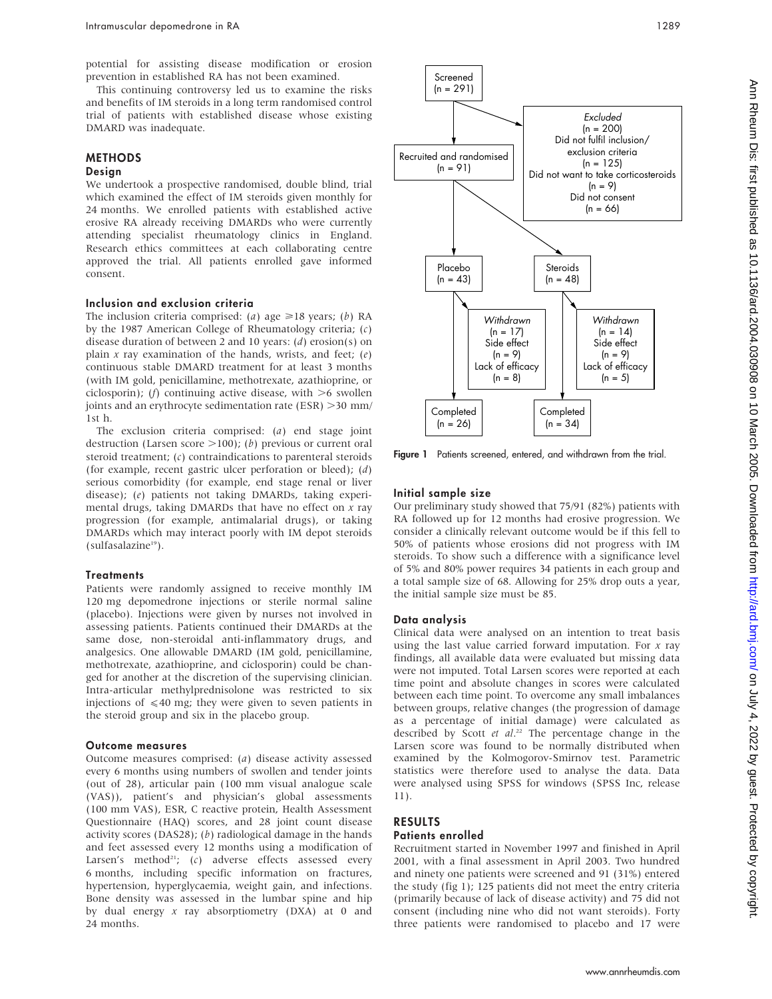potential for assisting disease modification or erosion prevention in established RA has not been examined.

This continuing controversy led us to examine the risks and benefits of IM steroids in a long term randomised control trial of patients with established disease whose existing DMARD was inadequate.

## METHODS

# Design

We undertook a prospective randomised, double blind, trial which examined the effect of IM steroids given monthly for 24 months. We enrolled patients with established active erosive RA already receiving DMARDs who were currently attending specialist rheumatology clinics in England. Research ethics committees at each collaborating centre approved the trial. All patients enrolled gave informed consent.

## Inclusion and exclusion criteria

The inclusion criteria comprised: (*a*) age  $\geq 18$  years; (*b*) RA by the 1987 American College of Rheumatology criteria;  $(c)$ disease duration of between 2 and 10 years: (d) erosion(s) on plain  $x$  ray examination of the hands, wrists, and feet;  $(e)$ continuous stable DMARD treatment for at least 3 months (with IM gold, penicillamine, methotrexate, azathioprine, or ciclosporin); (f) continuing active disease, with  $\geq 6$  swollen joints and an erythrocyte sedimentation rate (ESR)  $>$  30 mm/ 1st h.

The exclusion criteria comprised: (a) end stage joint destruction (Larsen score  $>100$ ); (b) previous or current oral steroid treatment;  $(c)$  contraindications to parenteral steroids (for example, recent gastric ulcer perforation or bleed);  $(d)$ serious comorbidity (for example, end stage renal or liver disease); (e) patients not taking DMARDs, taking experimental drugs, taking DMARDs that have no effect on  $x$  ray progression (for example, antimalarial drugs), or taking DMARDs which may interact poorly with IM depot steroids (sulfasalazine<sup>19</sup>).

### **Treatments**

Patients were randomly assigned to receive monthly IM 120 mg depomedrone injections or sterile normal saline (placebo). Injections were given by nurses not involved in assessing patients. Patients continued their DMARDs at the same dose, non-steroidal anti-inflammatory drugs, and analgesics. One allowable DMARD (IM gold, penicillamine, methotrexate, azathioprine, and ciclosporin) could be changed for another at the discretion of the supervising clinician. Intra-articular methylprednisolone was restricted to six injections of  $\leq 40$  mg; they were given to seven patients in the steroid group and six in the placebo group.

### Outcome measures

Outcome measures comprised: (a) disease activity assessed every 6 months using numbers of swollen and tender joints (out of 28), articular pain (100 mm visual analogue scale (VAS)), patient's and physician's global assessments (100 mm VAS), ESR, C reactive protein, Health Assessment Questionnaire (HAQ) scores, and 28 joint count disease activity scores (DAS28);  $(b)$  radiological damage in the hands and feet assessed every 12 months using a modification of Larsen's method<sup>21</sup>; (c) adverse effects assessed every 6 months, including specific information on fractures, hypertension, hyperglycaemia, weight gain, and infections. Bone density was assessed in the lumbar spine and hip by dual energy  $x$  ray absorptiometry (DXA) at 0 and 24 months.





Figure 1 Patients screened, entered, and withdrawn from the trial.

# Initial sample size

Screened

Our preliminary study showed that 75/91 (82%) patients with RA followed up for 12 months had erosive progression. We consider a clinically relevant outcome would be if this fell to 50% of patients whose erosions did not progress with IM steroids. To show such a difference with a significance level of 5% and 80% power requires 34 patients in each group and a total sample size of 68. Allowing for 25% drop outs a year, the initial sample size must be 85.

### Data analysis

Clinical data were analysed on an intention to treat basis using the last value carried forward imputation. For  $x$  ray findings, all available data were evaluated but missing data were not imputed. Total Larsen scores were reported at each time point and absolute changes in scores were calculated between each time point. To overcome any small imbalances between groups, relative changes (the progression of damage as a percentage of initial damage) were calculated as described by Scott et al.<sup>22</sup> The percentage change in the Larsen score was found to be normally distributed when examined by the Kolmogorov-Smirnov test. Parametric statistics were therefore used to analyse the data. Data were analysed using SPSS for windows (SPSS Inc, release 11).

# RESULTS

# Patients enrolled

Recruitment started in November 1997 and finished in April 2001, with a final assessment in April 2003. Two hundred and ninety one patients were screened and 91 (31%) entered the study (fig 1); 125 patients did not meet the entry criteria (primarily because of lack of disease activity) and 75 did not consent (including nine who did not want steroids). Forty three patients were randomised to placebo and 17 were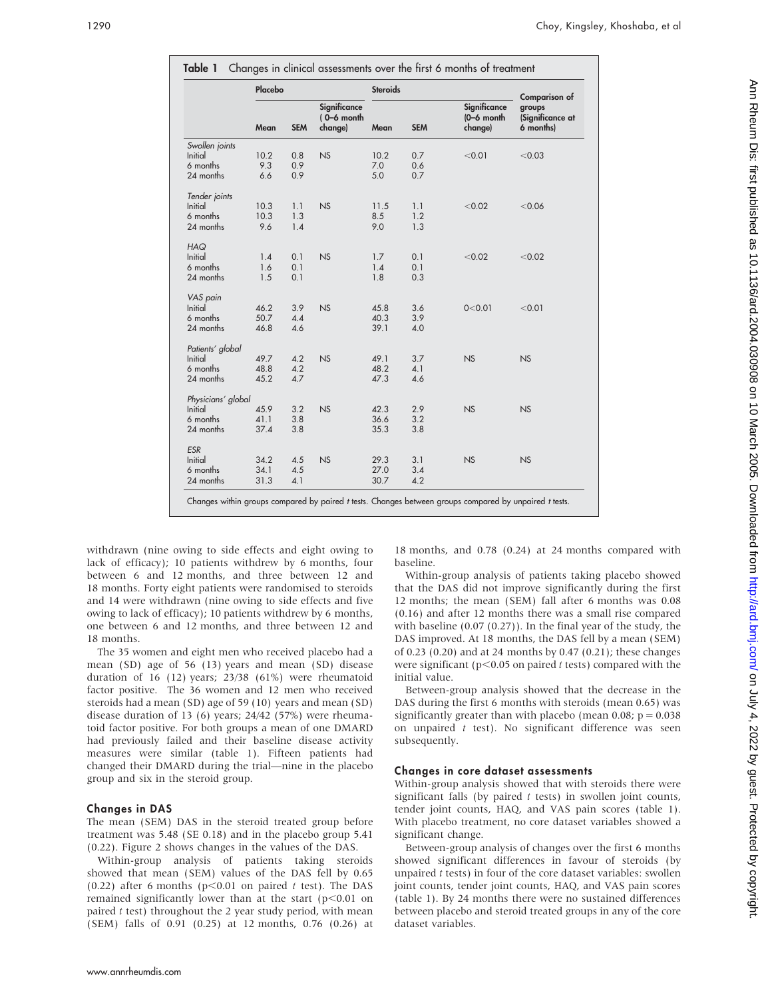|                                                        | Placebo              |                   |                                           | <b>Steroids</b>      |                   |                                           | Comparison of                           |
|--------------------------------------------------------|----------------------|-------------------|-------------------------------------------|----------------------|-------------------|-------------------------------------------|-----------------------------------------|
|                                                        | Mean                 | <b>SEM</b>        | Significance<br>$(0 - 6$ month<br>change) | Mean                 | <b>SEM</b>        | Significance<br>$(0 - 6$ month<br>change) | groups<br>(Significance at<br>6 months) |
| Swollen joints<br>Initial<br>6 months<br>24 months     | 10.2<br>9.3<br>6.6   | 0.8<br>0.9<br>0.9 | <b>NS</b>                                 | 10.2<br>7.0<br>5.0   | 0.7<br>0.6<br>0.7 | < 0.01                                    | < 0.03                                  |
| Tender joints<br>Initial<br>6 months<br>24 months      | 10.3<br>10.3<br>9.6  | 1.1<br>1.3<br>1.4 | <b>NS</b>                                 | 11.5<br>8.5<br>9.0   | 1.1<br>1.2<br>1.3 | < 0.02                                    | < 0.06                                  |
| <b>HAQ</b><br>Initial<br>6 months<br>24 months         | 1.4<br>1.6<br>1.5    | 0.1<br>0.1<br>0.1 | <b>NS</b>                                 | 1.7<br>1.4<br>1.8    | 0.1<br>0.1<br>0.3 | < 0.02                                    | < 0.02                                  |
| VAS pain<br><b>Initial</b><br>6 months<br>24 months    | 46.2<br>50.7<br>46.8 | 3.9<br>4.4<br>4.6 | <b>NS</b>                                 | 45.8<br>40.3<br>39.1 | 3.6<br>3.9<br>4.0 | 0<0.01                                    | < 0.01                                  |
| Patients' global<br>Initial<br>6 months<br>24 months   | 49.7<br>48.8<br>45.2 | 4.2<br>4.2<br>4.7 | <b>NS</b>                                 | 49.1<br>48.2<br>47.3 | 3.7<br>4.1<br>4.6 | <b>NS</b>                                 | <b>NS</b>                               |
| Physicians' global<br>Initial<br>6 months<br>24 months | 45.9<br>41.1<br>37.4 | 3.2<br>3.8<br>3.8 | <b>NS</b>                                 | 42.3<br>36.6<br>35.3 | 2.9<br>3.2<br>3.8 | NS                                        | NS                                      |
| <b>ESR</b><br>Initial<br>6 months<br>24 months         | 34.2<br>34.1<br>31.3 | 4.5<br>4.5<br>4.1 | <b>NS</b>                                 | 29.3<br>27.0<br>30.7 | 3.1<br>3.4<br>4.2 | <b>NS</b>                                 | <b>NS</b>                               |

withdrawn (nine owing to side effects and eight owing to lack of efficacy); 10 patients withdrew by 6 months, four between 6 and 12 months, and three between 12 and 18 months. Forty eight patients were randomised to steroids and 14 were withdrawn (nine owing to side effects and five owing to lack of efficacy); 10 patients withdrew by 6 months, one between 6 and 12 months, and three between 12 and 18 months.

The 35 women and eight men who received placebo had a mean (SD) age of 56 (13) years and mean (SD) disease duration of 16 (12) years; 23/38 (61%) were rheumatoid factor positive. The 36 women and 12 men who received steroids had a mean (SD) age of 59 (10) years and mean (SD) disease duration of 13 (6) years; 24/42 (57%) were rheumatoid factor positive. For both groups a mean of one DMARD had previously failed and their baseline disease activity measures were similar (table 1). Fifteen patients had changed their DMARD during the trial—nine in the placebo group and six in the steroid group.

### Changes in DAS

The mean (SEM) DAS in the steroid treated group before treatment was 5.48 (SE 0.18) and in the placebo group 5.41 (0.22). Figure 2 shows changes in the values of the DAS.

Within-group analysis of patients taking steroids showed that mean (SEM) values of the DAS fell by 0.65 (0.22) after 6 months ( $p<0.01$  on paired t test). The DAS remained significantly lower than at the start  $(p<0.01$  on paired t test) throughout the 2 year study period, with mean (SEM) falls of 0.91 (0.25) at 12 months, 0.76 (0.26) at 18 months, and 0.78 (0.24) at 24 months compared with baseline.

Within-group analysis of patients taking placebo showed that the DAS did not improve significantly during the first 12 months; the mean (SEM) fall after 6 months was 0.08 (0.16) and after 12 months there was a small rise compared with baseline (0.07 (0.27)). In the final year of the study, the DAS improved. At 18 months, the DAS fell by a mean (SEM) of 0.23 (0.20) and at 24 months by 0.47 (0.21); these changes were significant ( $p<0.05$  on paired t tests) compared with the initial value.

Between-group analysis showed that the decrease in the DAS during the first 6 months with steroids (mean 0.65) was significantly greater than with placebo (mean 0.08;  $p = 0.038$ ) on unpaired t test). No significant difference was seen subsequently.

# Changes in core dataset assessments

Within-group analysis showed that with steroids there were significant falls (by paired  $t$  tests) in swollen joint counts, tender joint counts, HAQ, and VAS pain scores (table 1). With placebo treatment, no core dataset variables showed a significant change.

Between-group analysis of changes over the first 6 months showed significant differences in favour of steroids (by unpaired  $t$  tests) in four of the core dataset variables: swollen joint counts, tender joint counts, HAQ, and VAS pain scores (table 1). By 24 months there were no sustained differences between placebo and steroid treated groups in any of the core dataset variables.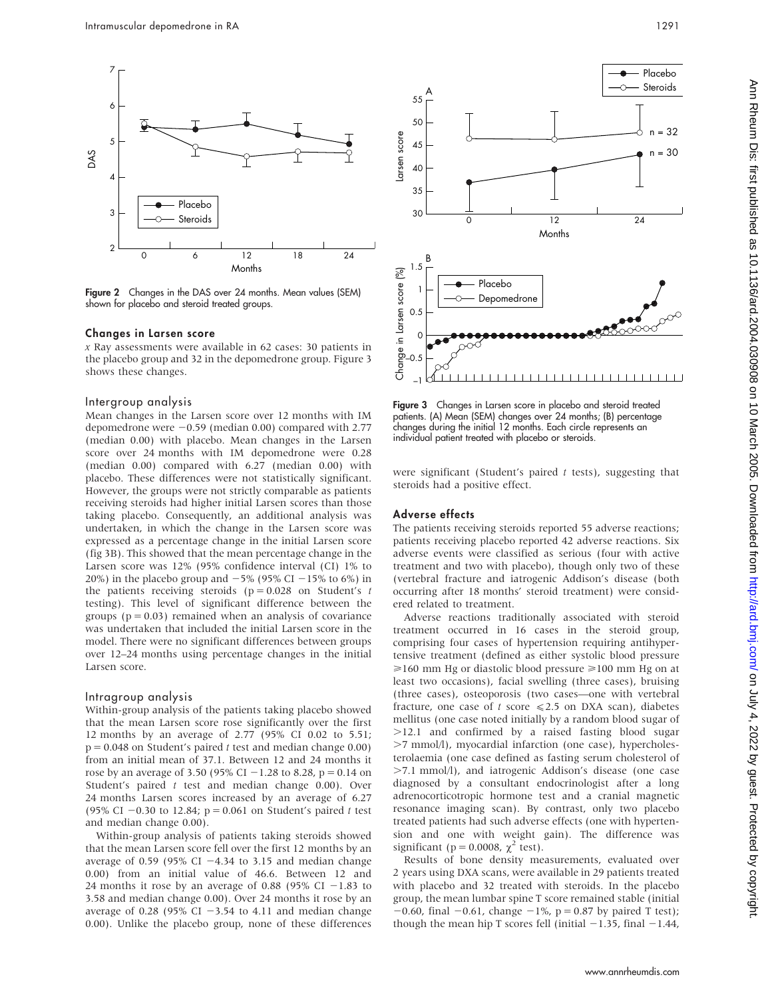

Figure 2 Changes in the DAS over 24 months. Mean values (SEM) shown for placebo and steroid treated groups.

# Changes in Larsen score

 $x$  Ray assessments were available in 62 cases: 30 patients in the placebo group and 32 in the depomedrone group. Figure 3 shows these changes.

### Intergroup analysis

Mean changes in the Larsen score over 12 months with IM depomedrone were  $-0.59$  (median 0.00) compared with 2.77 (median 0.00) with placebo. Mean changes in the Larsen score over 24 months with IM depomedrone were 0.28 (median 0.00) compared with 6.27 (median 0.00) with placebo. These differences were not statistically significant. However, the groups were not strictly comparable as patients receiving steroids had higher initial Larsen scores than those taking placebo. Consequently, an additional analysis was undertaken, in which the change in the Larsen score was expressed as a percentage change in the initial Larsen score (fig 3B). This showed that the mean percentage change in the Larsen score was 12% (95% confidence interval (CI) 1% to 20%) in the placebo group and  $-5%$  (95% CI  $-15%$  to 6%) in the patients receiving steroids ( $p = 0.028$  on Student's t testing). This level of significant difference between the groups ( $p = 0.03$ ) remained when an analysis of covariance was undertaken that included the initial Larsen score in the model. There were no significant differences between groups over 12–24 months using percentage changes in the initial Larsen score.

#### Intragroup analysis

Within-group analysis of the patients taking placebo showed that the mean Larsen score rose significantly over the first 12 months by an average of 2.77 (95% CI 0.02 to 5.51;  $p = 0.048$  on Student's paired t test and median change 0.00) from an initial mean of 37.1. Between 12 and 24 months it rose by an average of 3.50 (95% CI  $-1.28$  to 8.28, p = 0.14 on Student's paired t test and median change 0.00). Over 24 months Larsen scores increased by an average of 6.27 (95% CI -0.30 to 12.84;  $p = 0.061$  on Student's paired t test and median change 0.00).

Within-group analysis of patients taking steroids showed that the mean Larsen score fell over the first 12 months by an average of 0.59 (95% CI  $-4.34$  to 3.15 and median change 0.00) from an initial value of 46.6. Between 12 and 24 months it rose by an average of 0.88 (95% CI  $-1.83$  to 3.58 and median change 0.00). Over 24 months it rose by an average of 0.28 (95% CI  $-3.54$  to 4.11 and median change 0.00). Unlike the placebo group, none of these differences



Figure 3 Changes in Larsen score in placebo and steroid treated patients. (A) Mean (SEM) changes over 24 months; (B) percentage changes during the initial 12 months. Each circle represents an individual patient treated with placebo or steroids.

were significant (Student's paired  $t$  tests), suggesting that steroids had a positive effect.

## Adverse effects

The patients receiving steroids reported 55 adverse reactions; patients receiving placebo reported 42 adverse reactions. Six adverse events were classified as serious (four with active treatment and two with placebo), though only two of these (vertebral fracture and iatrogenic Addison's disease (both occurring after 18 months' steroid treatment) were considered related to treatment.

Adverse reactions traditionally associated with steroid treatment occurred in 16 cases in the steroid group, comprising four cases of hypertension requiring antihypertensive treatment (defined as either systolic blood pressure  $\geq 160$  mm Hg or diastolic blood pressure  $\geq 100$  mm Hg on at least two occasions), facial swelling (three cases), bruising (three cases), osteoporosis (two cases—one with vertebral fracture, one case of t score  $\leq 2.5$  on DXA scan), diabetes mellitus (one case noted initially by a random blood sugar of  $>12.1$  and confirmed by a raised fasting blood sugar .7 mmol/l), myocardial infarction (one case), hypercholesterolaemia (one case defined as fasting serum cholesterol of .7.1 mmol/l), and iatrogenic Addison's disease (one case diagnosed by a consultant endocrinologist after a long adrenocorticotropic hormone test and a cranial magnetic resonance imaging scan). By contrast, only two placebo treated patients had such adverse effects (one with hypertension and one with weight gain). The difference was significant (p = 0.0008,  $\chi^2$  test).

Results of bone density measurements, evaluated over 2 years using DXA scans, were available in 29 patients treated with placebo and 32 treated with steroids. In the placebo group, the mean lumbar spine T score remained stable (initial  $-0.60$ , final  $-0.61$ , change  $-1\%$ , p = 0.87 by paired T test); though the mean hip T scores fell (initial  $-1.35$ , final  $-1.44$ ,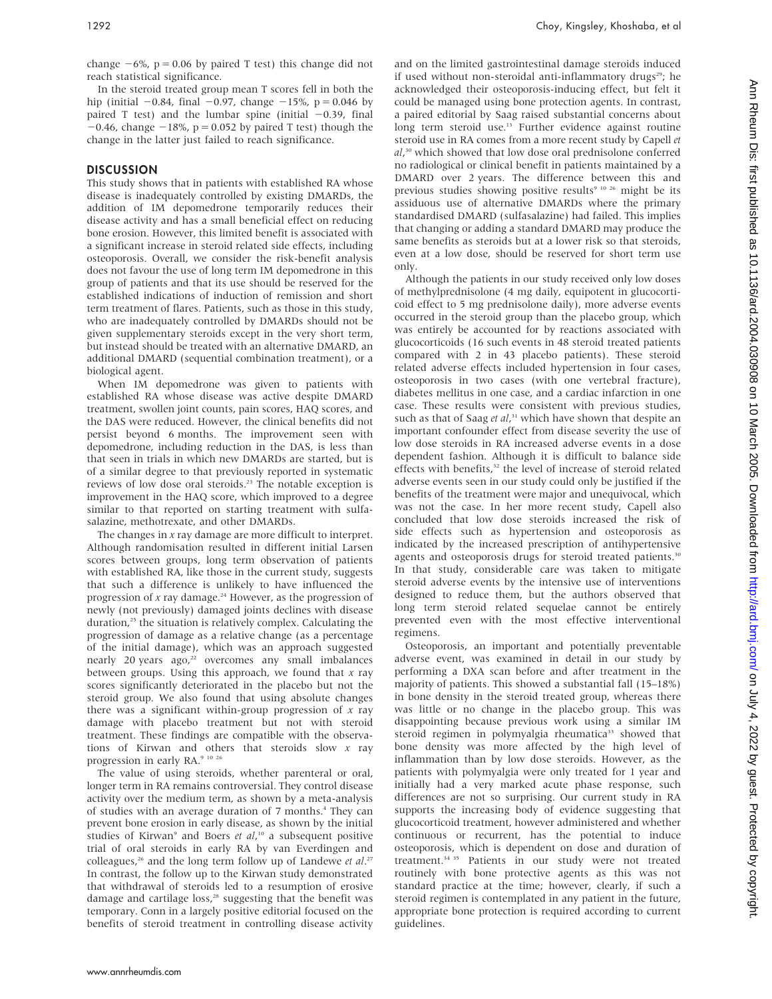change  $-6\%$ , p = 0.06 by paired T test) this change did not reach statistical significance.

In the steroid treated group mean T scores fell in both the hip (initial  $-0.84$ , final  $-0.97$ , change  $-15%$ , p = 0.046 by paired T test) and the lumbar spine (initial  $-0.39$ , final  $-0.46$ , change  $-18\%$ , p = 0.052 by paired T test) though the change in the latter just failed to reach significance.

# **DISCUSSION**

This study shows that in patients with established RA whose disease is inadequately controlled by existing DMARDs, the addition of IM depomedrone temporarily reduces their disease activity and has a small beneficial effect on reducing bone erosion. However, this limited benefit is associated with a significant increase in steroid related side effects, including osteoporosis. Overall, we consider the risk-benefit analysis does not favour the use of long term IM depomedrone in this group of patients and that its use should be reserved for the established indications of induction of remission and short term treatment of flares. Patients, such as those in this study, who are inadequately controlled by DMARDs should not be given supplementary steroids except in the very short term, but instead should be treated with an alternative DMARD, an additional DMARD (sequential combination treatment), or a biological agent.

When IM depomedrone was given to patients with established RA whose disease was active despite DMARD treatment, swollen joint counts, pain scores, HAQ scores, and the DAS were reduced. However, the clinical benefits did not persist beyond 6 months. The improvement seen with depomedrone, including reduction in the DAS, is less than that seen in trials in which new DMARDs are started, but is of a similar degree to that previously reported in systematic reviews of low dose oral steroids.<sup>23</sup> The notable exception is improvement in the HAQ score, which improved to a degree similar to that reported on starting treatment with sulfasalazine, methotrexate, and other DMARDs.

The changes in x ray damage are more difficult to interpret. Although randomisation resulted in different initial Larsen scores between groups, long term observation of patients with established RA, like those in the current study, suggests that such a difference is unlikely to have influenced the progression of  $x$  ray damage.<sup>24</sup> However, as the progression of newly (not previously) damaged joints declines with disease duration,<sup>25</sup> the situation is relatively complex. Calculating the progression of damage as a relative change (as a percentage of the initial damage), which was an approach suggested nearly 20 years ago,<sup>22</sup> overcomes any small imbalances between groups. Using this approach, we found that  $x$  ray scores significantly deteriorated in the placebo but not the steroid group. We also found that using absolute changes there was a significant within-group progression of  $x$  ray damage with placebo treatment but not with steroid treatment. These findings are compatible with the observations of Kirwan and others that steroids slow  $x$  ray progression in early RA.<sup>9 10 26</sup>

The value of using steroids, whether parenteral or oral, longer term in RA remains controversial. They control disease activity over the medium term, as shown by a meta-analysis of studies with an average duration of 7 months.<sup>4</sup> They can prevent bone erosion in early disease, as shown by the initial studies of Kirwan<sup>9</sup> and Boers et al,<sup>10</sup> a subsequent positive trial of oral steroids in early RA by van Everdingen and colleagues,<sup>26</sup> and the long term follow up of Landewe et al.<sup>27</sup> In contrast, the follow up to the Kirwan study demonstrated that withdrawal of steroids led to a resumption of erosive damage and cartilage loss,<sup>28</sup> suggesting that the benefit was temporary. Conn in a largely positive editorial focused on the benefits of steroid treatment in controlling disease activity and on the limited gastrointestinal damage steroids induced if used without non-steroidal anti-inflammatory drugs<sup>29</sup>; he acknowledged their osteoporosis-inducing effect, but felt it could be managed using bone protection agents. In contrast, a paired editorial by Saag raised substantial concerns about long term steroid use.<sup>13</sup> Further evidence against routine steroid use in RA comes from a more recent study by Capell et al,<sup>30</sup> which showed that low dose oral prednisolone conferred no radiological or clinical benefit in patients maintained by a DMARD over 2 years. The difference between this and previous studies showing positive results<sup>9 10 26</sup> might be its assiduous use of alternative DMARDs where the primary standardised DMARD (sulfasalazine) had failed. This implies that changing or adding a standard DMARD may produce the same benefits as steroids but at a lower risk so that steroids, even at a low dose, should be reserved for short term use only.

Although the patients in our study received only low doses of methylprednisolone (4 mg daily, equipotent in glucocorticoid effect to 5 mg prednisolone daily), more adverse events occurred in the steroid group than the placebo group, which was entirely be accounted for by reactions associated with glucocorticoids (16 such events in 48 steroid treated patients compared with 2 in 43 placebo patients). These steroid related adverse effects included hypertension in four cases, osteoporosis in two cases (with one vertebral fracture), diabetes mellitus in one case, and a cardiac infarction in one case. These results were consistent with previous studies, such as that of Saag et al,<sup>31</sup> which have shown that despite an important confounder effect from disease severity the use of low dose steroids in RA increased adverse events in a dose dependent fashion. Although it is difficult to balance side effects with benefits,<sup>32</sup> the level of increase of steroid related adverse events seen in our study could only be justified if the benefits of the treatment were major and unequivocal, which was not the case. In her more recent study, Capell also concluded that low dose steroids increased the risk of side effects such as hypertension and osteoporosis as indicated by the increased prescription of antihypertensive agents and osteoporosis drugs for steroid treated patients.<sup>30</sup> In that study, considerable care was taken to mitigate steroid adverse events by the intensive use of interventions designed to reduce them, but the authors observed that long term steroid related sequelae cannot be entirely prevented even with the most effective interventional regimens.

Osteoporosis, an important and potentially preventable adverse event, was examined in detail in our study by performing a DXA scan before and after treatment in the majority of patients. This showed a substantial fall (15–18%) in bone density in the steroid treated group, whereas there was little or no change in the placebo group. This was disappointing because previous work using a similar IM steroid regimen in polymyalgia rheumatica<sup>33</sup> showed that bone density was more affected by the high level of inflammation than by low dose steroids. However, as the patients with polymyalgia were only treated for 1 year and initially had a very marked acute phase response, such differences are not so surprising. Our current study in RA supports the increasing body of evidence suggesting that glucocorticoid treatment, however administered and whether continuous or recurrent, has the potential to induce osteoporosis, which is dependent on dose and duration of treatment.34 35 Patients in our study were not treated routinely with bone protective agents as this was not standard practice at the time; however, clearly, if such a steroid regimen is contemplated in any patient in the future, appropriate bone protection is required according to current guidelines.